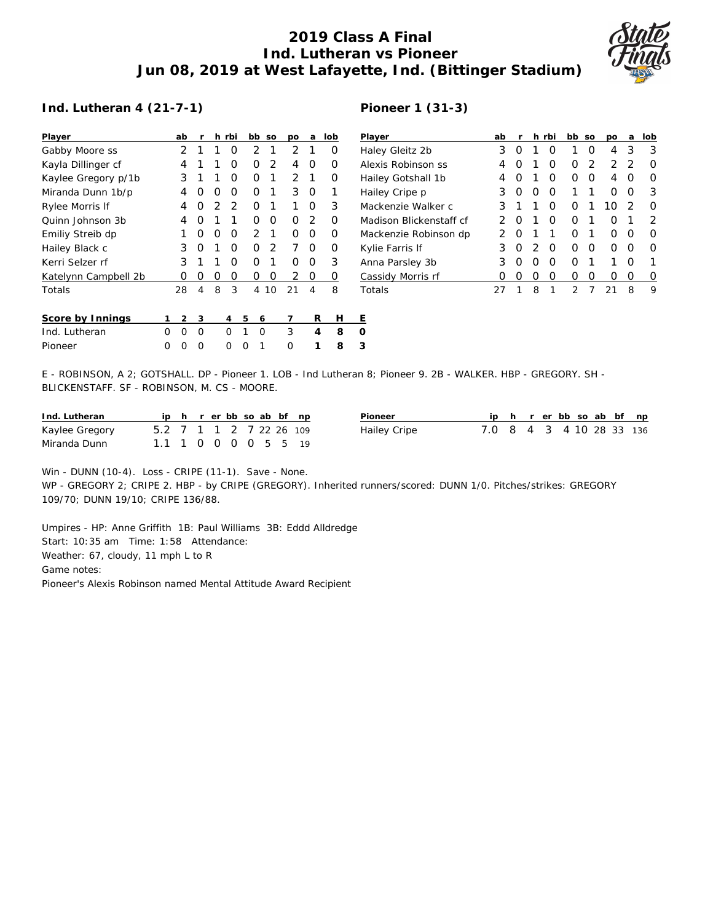## **2019 Class A Final Ind. Lutheran vs Pioneer Jun 08, 2019 at West Lafayette, Ind. (Bittinger Stadium)**



## **Ind. Lutheran 4 (21-7-1)**

## **Pioneer 1 (31-3)**

| Player               |   | ab | r        |   | h rbi |   | bb | <b>SO</b>     | po             | a | lob | P           |
|----------------------|---|----|----------|---|-------|---|----|---------------|----------------|---|-----|-------------|
| Gabby Moore ss       |   | 2  | 1        | 1 | Ο     |   | 2  | 1             | 2              | 1 | Ο   | Н           |
| Kayla Dillinger cf   |   | 4  | 1        | 1 | O     |   | Ο  | 2             | 4              | O | O   | А           |
| Kaylee Gregory p/1b  |   | 3  | 1        | 1 | Ο     |   | Ο  | 1             | $\overline{2}$ | 1 | Ο   | ⊢           |
| Miranda Dunn 1b/p    |   | 4  | O        | O | Ο     |   | O  | 1             | 3              | 0 | 1   | Н           |
| Rylee Morris If      |   | 4  | 0        | 2 | 2     |   | O  | 1             | 1              | O | 3   | N           |
| Ouinn Johnson 3b     |   | 4  | 0        | 1 | 1     |   | O  | Ο             | O              | 2 | O   | N           |
| Emiliy Streib dp     |   | 1  | Ο        | O | Ο     |   | 2  | 1             | Ο              | Ο | Ο   | N           |
| Hailey Black c       |   | 3  | O        | 1 | Ω     |   | Ω  | $\mathcal{P}$ | 7              | O | O   | К           |
| Kerri Selzer rf      |   | 3  | 1        | 1 | Ο     |   | Ο  | 1             | Ο              | Ο | 3   | А           |
| Katelynn Campbell 2b |   | Ω  | Ο        | Ο | O     |   | Ο  | Ο             | 2              | Ο | O   | $\subseteq$ |
| Totals               |   | 28 | 4        | 8 | 3     |   | 4  | 10            | 21             | 4 | 8   | Τ           |
| Score by Innings     | 1 | 2  | 3        |   | 4     | 5 | 6  |               | 7              | R | н   | Ε           |
| Ind. Lutheran        | Ω | O  | O        |   | O     | 1 | O  |               | 3              | 4 | 8   | Ω           |
| Pioneer              | ∩ | Ω  | $\Omega$ |   | ∩     | Ω | 1  |               | $\Omega$       | 1 | 8   | 3           |

| Player                  | ab | r                |                  | h rbi | bb so |                  | po               | a                | lob |
|-------------------------|----|------------------|------------------|-------|-------|------------------|------------------|------------------|-----|
| Haley Gleitz 2b         | 3  | $\left( \right)$ | 1                | Ω     | 1     | O                | 4                | 3                | 3   |
| Alexis Robinson ss      | 4  | O                | 1                | Ω     | Ω     | 2                | $\mathcal{D}$    | 2                | Ω   |
| Hailey Gotshall 1b      | 4  | O                | 1                | Ω     | Ω     | O                | 4                | Ω                | O   |
| Hailey Cripe p          | 3  | O                | Ω                | Ω     | 1     | 1                | Ω                | Ω                | 3   |
| Mackenzie Walker c      | 3  | 1                | 1                | Ω     | Ω     | 1                | 10               | 2                | O   |
| Madison Blickenstaff cf | っ  | $\left( \right)$ | 1                | Ω     | Ω     | 1                | $\left( \right)$ |                  | フ   |
| Mackenzie Robinson dp   | っ  | $\left( \right)$ | 1                | 1     | Ω     | 1                | $\left( \right)$ | $\left( \right)$ | O   |
| Kylie Farris If         | 3  | $\left( \right)$ | 2                | O     | Ω     | Ω                | 0                | $\left( \right)$ | O   |
| Anna Parsley 3b         | 3  | O                | $\left( \right)$ | Ω     | Ω     | 1                | 1                | Ω                | 1   |
| Cassidy Morris rf       | 0  | $\left( \right)$ | $\left( \right)$ | Ω     | Ω     | $\left( \right)$ | 0                | $\left( \right)$ |     |
| Totals                  |    |                  | 8                | 1     | 2     |                  | 21               | 8                | 9   |

E - ROBINSON, A 2; GOTSHALL. DP - Pioneer 1. LOB - Ind Lutheran 8; Pioneer 9. 2B - WALKER. HBP - GREGORY. SH - BLICKENSTAFF. SF - ROBINSON, M. CS - MOORE.

| Ind. Lutheran  |                         |  |  |  | ip h r erbb so ab bf np | Pioneer      |                          |  |  |  | iph rerbbsoab bf np |
|----------------|-------------------------|--|--|--|-------------------------|--------------|--------------------------|--|--|--|---------------------|
| Kaylee Gregory | 5.2 7 1 1 2 7 22 26 109 |  |  |  |                         | Hailey Cripe | 7.0 8 4 3 4 10 28 33 136 |  |  |  |                     |
| Miranda Dunn   | 1.1 1 0 0 0 0 5 5 19    |  |  |  |                         |              |                          |  |  |  |                     |

Win - DUNN (10-4). Loss - CRIPE (11-1). Save - None. WP - GREGORY 2; CRIPE 2. HBP - by CRIPE (GREGORY). Inherited runners/scored: DUNN 1/0. Pitches/strikes: GREGORY 109/70; DUNN 19/10; CRIPE 136/88.

Umpires - HP: Anne Griffith 1B: Paul Williams 3B: Eddd Alldredge Start: 10:35 am Time: 1:58 Attendance: Weather: 67, cloudy, 11 mph L to R Game notes: Pioneer's Alexis Robinson named Mental Attitude Award Recipient